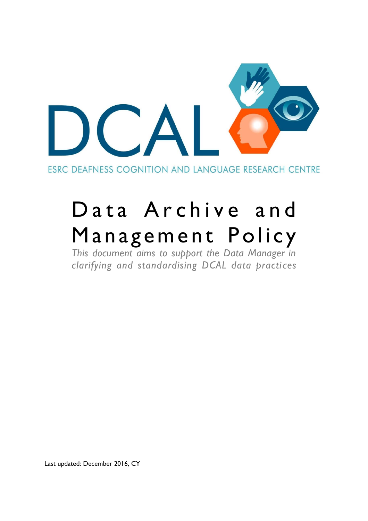

ESRC DEAFNESS COGNITION AND LANGUAGE RESEARCH CENTRE

# Data Archive and Management Policy

*This document aims to support the Data Manager in clarifying and standardising DCAL data practices*

Last updated: December 2016, CY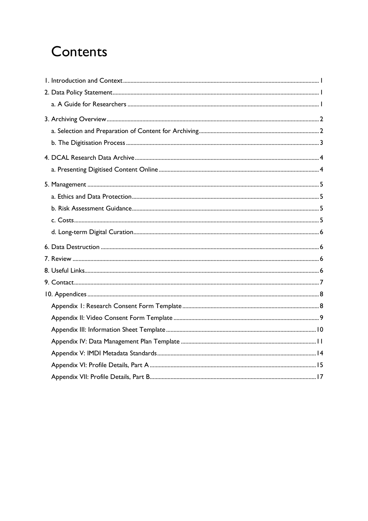## Contents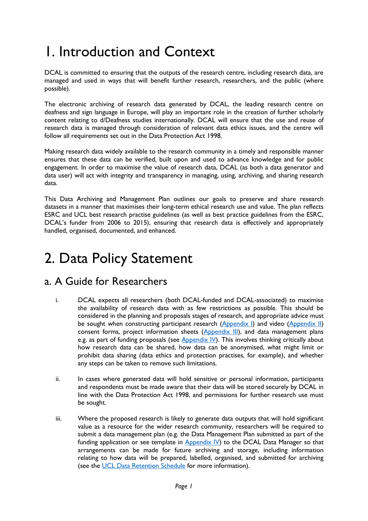## 1. Introduction and Context

DCAL is committed to ensuring that the outputs of the research centre, including research data, are managed and used in ways that will benefit further research, researchers, and the public (where possible).

The electronic archiving of research data generated by DCAL, the leading research centre on deafness and sign language in Europe, will play an important role in the creation of further scholarly content relating to d/Deafness studies internationally. DCAL will ensure that the use and reuse of research data is managed through consideration of relevant data ethics issues, and the centre will follow all requirements set out in the Data Protection Act 1998.

Making research data widely available to the research community in a timely and responsible manner ensures that these data can be verified, built upon and used to advance knowledge and for public engagement. In order to maximise the value of research data, DCAL (as both a data generator and data user) will act with integrity and transparency in managing, using, archiving, and sharing research data.

This Data Archiving and Management Plan outlines our goals to preserve and share research datasets in a manner that maximises their long-term ethical research use and value. The plan reflects ESRC and UCL best research practise guidelines (as well as best practice guidelines from the ESRC, DCAL's funder from 2006 to 2015), ensuring that research data is effectively and appropriately handled, organised, documented, and enhanced.

## 2. Data Policy Statement

### a. A Guide for Researchers

- i. DCAL expects all researchers (both DCAL-funded and DCAL-associated) to maximise the availability of research data with as few restrictions as possible. This should be considered in the planning and proposals stages of research, and appropriate advice must be sought when constructing participant research (Appendix I) and video (Appendix II) consent forms, project information sheets (Appendix III), and data management plans e.g. as part of funding proposals (see  $Appendix$  IV). This involves thinking critically about how research data can be shared, how data can be anonymised, what might limit or prohibit data sharing (data ethics and protection practises, for example), and whether any steps can be taken to remove such limitations.
- ii. In cases where generated data will hold sensitive or personal information, participants and respondents must be made aware that their data will be stored securely by DCAL in line with the Data Protection Act 1998, and permissions for further research use must be sought.
- iii. Where the proposed research is likely to generate data outputs that will hold significant value as a resource for the wider research community, researchers will be required to submit a data management plan (e.g. the Data Management Plan submitted as part of the funding application or see template in  $Appendix$  IV) to the DCAL Data Manager so that arrangements can be made for future archiving and storage, including information relating to how data will be prepared, labelled, organised, and submitted for archiving (see the UCL Data Retention Schedule for more information).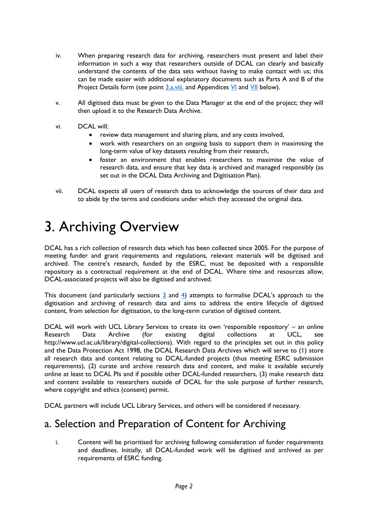- iv. When preparing research data for archiving, researchers must present and label their information in such a way that researchers outside of DCAL can clearly and basically understand the contents of the data sets without having to make contact with us; this can be made easier with additional explanatory documents such as Parts A and B of the Project Details form (see point  $3.a.viii$  and Appendices  $V1$  and  $V11$  below).
- v. All digitised data must be given to the Data Manager at the end of the project; they will then upload it to the Research Data Archive.
- vi. DCAL will:
	- review data management and sharing plans, and any costs involved,
	- work with researchers on an ongoing basis to support them in maximising the long-term value of key datasets resulting from their research,
	- foster an environment that enables researchers to maximise the value of research data, and ensure that key data is archived and managed responsibly (as set out in the DCAL Data Archiving and Digitisation Plan).
- vii. DCAL expects all users of research data to acknowledge the sources of their data and to abide by the terms and conditions under which they accessed the original data.

## 3. Archiving Overview

DCAL has a rich collection of research data which has been collected since 2005. For the purpose of meeting funder and grant requirements and regulations, relevant materials will be digitised and archived. The centre's research, funded by the ESRC, must be deposited with a responsible repository as a contractual requirement at the end of DCAL. Where time and resources allow, DCAL-associated projects will also be digitised and archived.

This document (and particularly sections  $\frac{3}{2}$  and  $\frac{4}{2}$ ) attempts to formalise DCAL's approach to the digitisation and archiving of research data and aims to address the entire lifecycle of digitised content, from selection for digitisation, to the long-term curation of digitised content.

DCAL will work with UCL Library Services to create its own 'responsible repository' – an online Research Data Archive (for existing digital collections at UCL, see http://www.ucl.ac.uk/library/digital-collections). With regard to the principles set out in this policy and the Data Protection Act 1998, the DCAL Research Data Archives which will serve to (1) store all research data and content relating to DCAL-funded projects (thus meeting ESRC submission requirements), (2) curate and archive research data and content, and make it available securely online at least to DCAL PIs and if possible other DCAL-funded researchers, (3) make research data and content available to researchers outside of DCAL for the sole purpose of further research, where copyright and ethics (consent) permit.

DCAL partners will include UCL Library Services, and others will be considered if necessary.

### a. Selection and Preparation of Content for Archiving

i. Content will be prioritised for archiving following consideration of funder requirements and deadlines. Initially, all DCAL-funded work will be digitised and archived as per requirements of ESRC funding.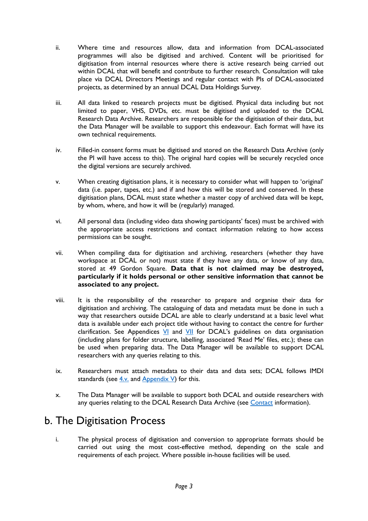- ii. Where time and resources allow, data and information from DCAL-associated programmes will also be digitised and archived. Content will be prioritised for digitisation from internal resources where there is active research being carried out within DCAL that will benefit and contribute to further research. Consultation will take place via DCAL Directors Meetings and regular contact with PIs of DCAL-associated projects, as determined by an annual DCAL Data Holdings Survey.
- iii. All data linked to research projects must be digitised. Physical data including but not limited to paper, VHS, DVDs, etc. must be digitised and uploaded to the DCAL Research Data Archive. Researchers are responsible for the digitisation of their data, but the Data Manager will be available to support this endeavour. Each format will have its own technical requirements.
- iv. Filled-in consent forms must be digitised and stored on the Research Data Archive (only the PI will have access to this). The original hard copies will be securely recycled once the digital versions are securely archived.
- v. When creating digitisation plans, it is necessary to consider what will happen to 'original' data (i.e. paper, tapes, etc.) and if and how this will be stored and conserved. In these digitisation plans, DCAL must state whether a master copy of archived data will be kept, by whom, where, and how it will be (regularly) managed.
- vi. All personal data (including video data showing participants' faces) must be archived with the appropriate access restrictions and contact information relating to how access permissions can be sought.
- vii. When compiling data for digitisation and archiving, researchers (whether they have workspace at DCAL or not) must state if they have any data, or know of any data, stored at 49 Gordon Square. **Data that is not claimed may be destroyed, particularly if it holds personal or other sensitive information that cannot be associated to any project.**
- viii. It is the responsibility of the researcher to prepare and organise their data for digitisation and archiving. The cataloguing of data and metadata must be done in such a way that researchers outside DCAL are able to clearly understand at a basic level what data is available under each project title without having to contact the centre for further clarification. See Appendices  $\frac{V}{I}$  and  $\frac{V}{I}$  for DCAL's guidelines on data organisation (including plans for folder structure, labelling, associated 'Read Me' files, etc.); these can be used when preparing data. The Data Manager will be available to support DCAL researchers with any queries relating to this.
- ix. Researchers must attach metadata to their data and data sets; DCAL follows IMDI standards (see  $\frac{4}{v}$  and Appendix V) for this.
- x. The Data Manager will be available to support both DCAL and outside researchers with any queries relating to the DCAL Research Data Archive (see Contact information).

### b. The Digitisation Process

i. The physical process of digitisation and conversion to appropriate formats should be carried out using the most cost-effective method, depending on the scale and requirements of each project. Where possible in-house facilities will be used.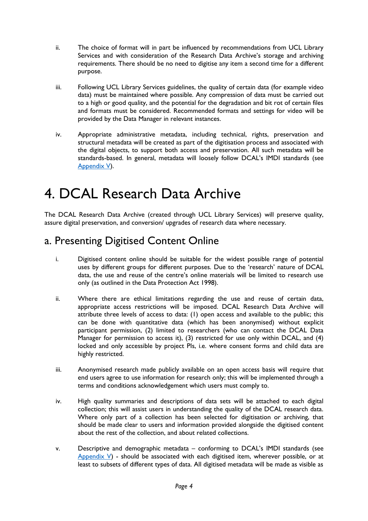- ii. The choice of format will in part be influenced by recommendations from UCL Library Services and with consideration of the Research Data Archive's storage and archiving requirements. There should be no need to digitise any item a second time for a different purpose.
- iii. Following UCL Library Services guidelines, the quality of certain data (for example video data) must be maintained where possible. Any compression of data must be carried out to a high or good quality, and the potential for the degradation and bit rot of certain files and formats must be considered. Recommended formats and settings for video will be provided by the Data Manager in relevant instances.
- iv. Appropriate administrative metadata, including technical, rights, preservation and structural metadata will be created as part of the digitisation process and associated with the digital objects, to support both access and preservation. All such metadata will be standards-based. In general, metadata will loosely follow DCAL's IMDI standards (see Appendix V).

## 4. DCAL Research Data Archive

The DCAL Research Data Archive (created through UCL Library Services) will preserve quality, assure digital preservation, and conversion/ upgrades of research data where necessary.

### a. Presenting Digitised Content Online

- i. Digitised content online should be suitable for the widest possible range of potential uses by different groups for different purposes. Due to the 'research' nature of DCAL data, the use and reuse of the centre's online materials will be limited to research use only (as outlined in the Data Protection Act 1998).
- ii. Where there are ethical limitations regarding the use and reuse of certain data, appropriate access restrictions will be imposed. DCAL Research Data Archive will attribute three levels of access to data: (1) open access and available to the public; this can be done with quantitative data (which has been anonymised) without explicit participant permission, (2) limited to researchers (who can contact the DCAL Data Manager for permission to access it),  $(3)$  restricted for use only within DCAL, and  $(4)$ locked and only accessible by project PIs, i.e. where consent forms and child data are highly restricted.
- iii. Anonymised research made publicly available on an open access basis will require that end users agree to use information for research only; this will be implemented through a terms and conditions acknowledgement which users must comply to.
- iv. High quality summaries and descriptions of data sets will be attached to each digital collection; this will assist users in understanding the quality of the DCAL research data. Where only part of a collection has been selected for digitisation or archiving, that should be made clear to users and information provided alongside the digitised content about the rest of the collection, and about related collections.
- v. Descriptive and demographic metadata conforming to DCAL's IMDI standards (see Appendix  $V$ ) - should be associated with each digitised item, wherever possible, or at least to subsets of different types of data. All digitised metadata will be made as visible as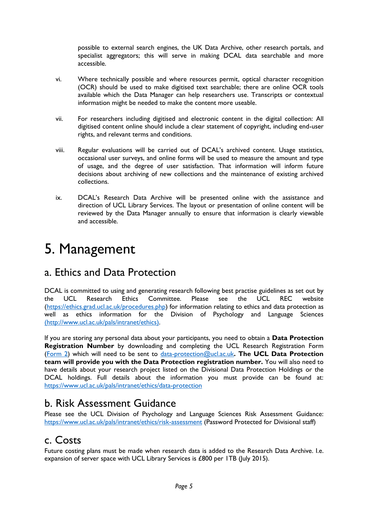possible to external search engines, the UK Data Archive, other research portals, and specialist aggregators; this will serve in making DCAL data searchable and more accessible.

- vi. Where technically possible and where resources permit, optical character recognition (OCR) should be used to make digitised text searchable; there are online OCR tools available which the Data Manager can help researchers use. Transcripts or contextual information might be needed to make the content more useable.
- vii. For researchers including digitised and electronic content in the digital collection: All digitised content online should include a clear statement of copyright, including end-user rights, and relevant terms and conditions.
- viii. Regular evaluations will be carried out of DCAL's archived content. Usage statistics, occasional user surveys, and online forms will be used to measure the amount and type of usage, and the degree of user satisfaction. That information will inform future decisions about archiving of new collections and the maintenance of existing archived collections.
- ix. DCAL's Research Data Archive will be presented online with the assistance and direction of UCL Library Services. The layout or presentation of online content will be reviewed by the Data Manager annually to ensure that information is clearly viewable and accessible.

## 5. Management

### a. Ethics and Data Protection

DCAL is committed to using and generating research following best practise guidelines as set out by the UCL Research Ethics Committee. Please see the UCL REC website (https://ethics.grad.ucl.ac.uk/procedures.php) for information relating to ethics and data protection as well as ethics information for the Division of Psychology and Language Sciences (http://www.ucl.ac.uk/pals/intranet/ethics).

If you are storing any personal data about your participants, you need to obtain a **Data Protection Registration Number** by downloading and completing the UCL Research Registration Form (Form 2) which will need to be sent to data-protection@ucl.ac.uk**. The UCL Data Protection team will provide you with the Data Protection registration number.** You will also need to have details about your research project listed on the Divisional Data Protection Holdings or the DCAL holdings. Full details about the information you must provide can be found at: https://www.ucl.ac.uk/pals/intranet/ethics/data-protection

### b. Risk Assessment Guidance

Please see the UCL Division of Psychology and Language Sciences Risk Assessment Guidance: https://www.ucl.ac.uk/pals/intranet/ethics/risk-assessment (Password Protected for Divisional staff)

### c. Costs

Future costing plans must be made when research data is added to the Research Data Archive. I.e. expansion of server space with UCL Library Services is £800 per ITB (July 2015).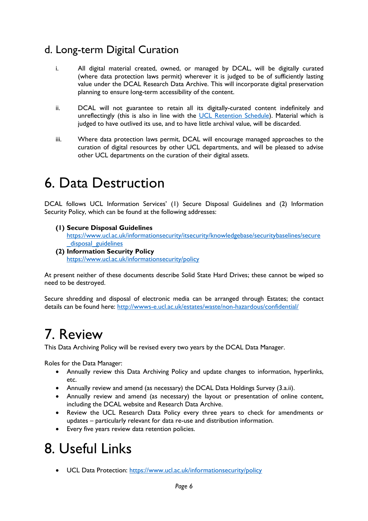### d. Long-term Digital Curation

- i. All digital material created, owned, or managed by DCAL, will be digitally curated (where data protection laws permit) wherever it is judged to be of sufficiently lasting value under the DCAL Research Data Archive. This will incorporate digital preservation planning to ensure long-term accessibility of the content.
- ii. DCAL will not guarantee to retain all its digitally-curated content indefinitely and unreflectingly (this is also in line with the UCL Retention Schedule). Material which is judged to have outlived its use, and to have little archival value, will be discarded.
- iii. Where data protection laws permit, DCAL will encourage managed approaches to the curation of digital resources by other UCL departments, and will be pleased to advise other UCL departments on the curation of their digital assets.

## 6. Data Destruction

DCAL follows UCL Information Services' (1) Secure Disposal Guidelines and (2) Information Security Policy, which can be found at the following addresses:

- **(1) Secure Disposal Guidelines**  https://www.ucl.ac.uk/informationsecurity/itsecurity/knowledgebase/securitybaselines/secure disposal guidelines
- **(2) Information Security Policy** https://www.ucl.ac.uk/informationsecurity/policy

At present neither of these documents describe Solid State Hard Drives; these cannot be wiped so need to be destroyed.

Secure shredding and disposal of electronic media can be arranged through Estates; the contact details can be found here: http://wwws-e.ucl.ac.uk/estates/waste/non-hazardous/confidential/

## 7. Review

This Data Archiving Policy will be revised every two years by the DCAL Data Manager.

Roles for the Data Manager:

- Annually review this Data Archiving Policy and update changes to information, hyperlinks, etc.
- Annually review and amend (as necessary) the DCAL Data Holdings Survey (3.a.ii).
- Annually review and amend (as necessary) the layout or presentation of online content, including the DCAL website and Research Data Archive.
- Review the UCL Research Data Policy every three years to check for amendments or updates – particularly relevant for data re-use and distribution information.
- Every five years review data retention policies.

## 8. Useful Links

• UCL Data Protection: https://www.ucl.ac.uk/informationsecurity/policy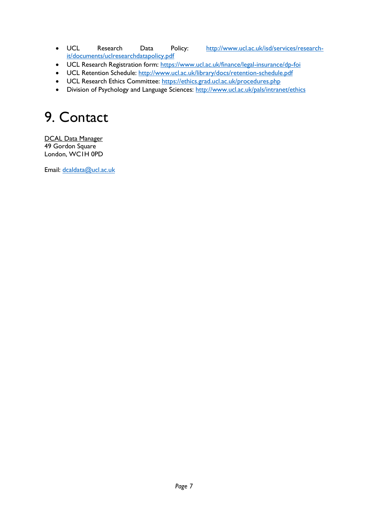- UCL Research Data Policy: http://www.ucl.ac.uk/isd/services/researchit/documents/uclresearchdatapolicy.pdf
- UCL Research Registration form: https://www.ucl.ac.uk/finance/legal-insurance/dp-foi
- UCL Retention Schedule: http://www.ucl.ac.uk/library/docs/retention-schedule.pdf
- UCL Research Ethics Committee: https://ethics.grad.ucl.ac.uk/procedures.php
- Division of Psychology and Language Sciences: http://www.ucl.ac.uk/pals/intranet/ethics

## 9. Contact

DCAL Data Manager 49 Gordon Square London, WC1H 0PD

Email: dcaldata@ucl.ac.uk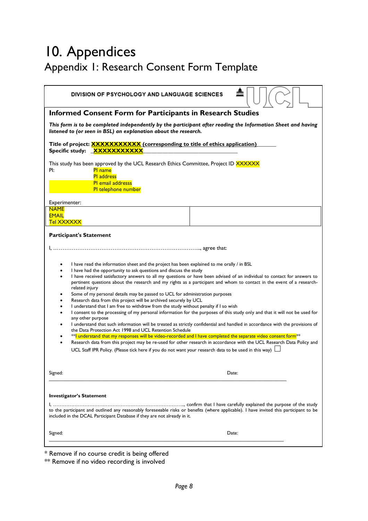## 10. Appendices Appendix 1: Research Consent Form Template

| mm<br><b>DIVISION OF PSYCHOLOGY AND LANGUAGE SCIENCES</b>                                                                                                                                                                                                                                                                                                                                                                                                                                                                                                                                                                                                                                                                                                                                                                                                                                                                                                                                                                                          |  |  |  |
|----------------------------------------------------------------------------------------------------------------------------------------------------------------------------------------------------------------------------------------------------------------------------------------------------------------------------------------------------------------------------------------------------------------------------------------------------------------------------------------------------------------------------------------------------------------------------------------------------------------------------------------------------------------------------------------------------------------------------------------------------------------------------------------------------------------------------------------------------------------------------------------------------------------------------------------------------------------------------------------------------------------------------------------------------|--|--|--|
| <b>Informed Consent Form for Participants in Research Studies</b>                                                                                                                                                                                                                                                                                                                                                                                                                                                                                                                                                                                                                                                                                                                                                                                                                                                                                                                                                                                  |  |  |  |
| This form is to be completed independently by the participant after reading the Information Sheet and having<br>listened to (or seen in BSL) an explanation about the research.                                                                                                                                                                                                                                                                                                                                                                                                                                                                                                                                                                                                                                                                                                                                                                                                                                                                    |  |  |  |
| Title of project: <b>XXXXXXXXXX</b> (corresponding to title of ethics application)<br>Specific study: <b>XXXXXXXXXXX</b>                                                                                                                                                                                                                                                                                                                                                                                                                                                                                                                                                                                                                                                                                                                                                                                                                                                                                                                           |  |  |  |
| This study has been approved by the UCL Research Ethics Committee, Project ID XXXXXX<br>PI:<br><b>PI</b> name                                                                                                                                                                                                                                                                                                                                                                                                                                                                                                                                                                                                                                                                                                                                                                                                                                                                                                                                      |  |  |  |
| <b>PI</b> address                                                                                                                                                                                                                                                                                                                                                                                                                                                                                                                                                                                                                                                                                                                                                                                                                                                                                                                                                                                                                                  |  |  |  |
| <b>PI</b> email addresss<br>Pl telephone number                                                                                                                                                                                                                                                                                                                                                                                                                                                                                                                                                                                                                                                                                                                                                                                                                                                                                                                                                                                                    |  |  |  |
| Experimenter:                                                                                                                                                                                                                                                                                                                                                                                                                                                                                                                                                                                                                                                                                                                                                                                                                                                                                                                                                                                                                                      |  |  |  |
| <b>NAME</b><br><b>EMAIL</b><br>Tel XXXXXX                                                                                                                                                                                                                                                                                                                                                                                                                                                                                                                                                                                                                                                                                                                                                                                                                                                                                                                                                                                                          |  |  |  |
| <b>Participant's Statement</b>                                                                                                                                                                                                                                                                                                                                                                                                                                                                                                                                                                                                                                                                                                                                                                                                                                                                                                                                                                                                                     |  |  |  |
|                                                                                                                                                                                                                                                                                                                                                                                                                                                                                                                                                                                                                                                                                                                                                                                                                                                                                                                                                                                                                                                    |  |  |  |
| I have read the information sheet and the project has been explained to me orally / in BSL<br>٠<br>I have had the opportunity to ask questions and discuss the study<br>I have received satisfactory answers to all my questions or have been advised of an individual to contact for answers to<br>$\bullet$<br>pertinent questions about the research and my rights as a participant and whom to contact in the event of a research-<br>related injury<br>Some of my personal details may be passed to UCL for administration purposes<br>Research data from this project will be archived securely by UCL<br>I understand that I am free to withdraw from the study without penalty if I so wish<br>I consent to the processing of my personal information for the purposes of this study only and that it will not be used for<br>any other purpose<br>I understand that such information will be treated as strictly confidential and handled in accordance with the provisions of<br>the Data Protection Act 1998 and UCL Retention Schedule |  |  |  |
| **I understand that my responses will be video-recorded and I have completed the separate video consent form <sup>**</sup><br>Research data from this project may be re-used for other research in accordance with the UCL Research Data Policy and<br>UCL Staff IPR Policy. (Please tick here if you do not want your research data to be used in this way)                                                                                                                                                                                                                                                                                                                                                                                                                                                                                                                                                                                                                                                                                       |  |  |  |
| Signed:<br>Date:                                                                                                                                                                                                                                                                                                                                                                                                                                                                                                                                                                                                                                                                                                                                                                                                                                                                                                                                                                                                                                   |  |  |  |
| <b>Investigator's Statement</b>                                                                                                                                                                                                                                                                                                                                                                                                                                                                                                                                                                                                                                                                                                                                                                                                                                                                                                                                                                                                                    |  |  |  |
| to the participant and outlined any reasonably foreseeable risks or benefits (where applicable). I have invited this participant to be<br>included in the DCAL Participant Database if they are not already in it.                                                                                                                                                                                                                                                                                                                                                                                                                                                                                                                                                                                                                                                                                                                                                                                                                                 |  |  |  |
| Signed:<br>Date:                                                                                                                                                                                                                                                                                                                                                                                                                                                                                                                                                                                                                                                                                                                                                                                                                                                                                                                                                                                                                                   |  |  |  |
|                                                                                                                                                                                                                                                                                                                                                                                                                                                                                                                                                                                                                                                                                                                                                                                                                                                                                                                                                                                                                                                    |  |  |  |

\* Remove if no course credit is being offered

\*\* Remove if no video recording is involved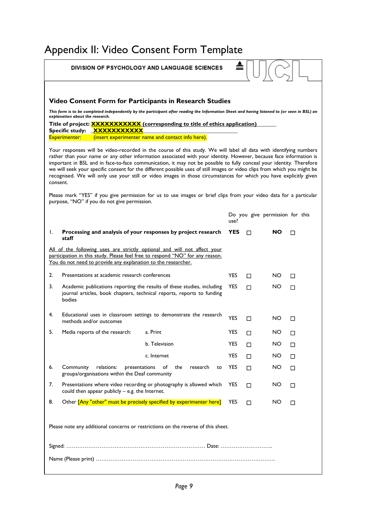## Appendix II: Video Consent Form Template

|                                                                                   | <b>DIVISION OF PSYCHOLOGY AND LANGUAGE SCIENCES</b>                                                                                                                                                                                                                                                                                                                                                                                                                                                                                                                                                                             |                | min        |   |                                 |   |
|-----------------------------------------------------------------------------------|---------------------------------------------------------------------------------------------------------------------------------------------------------------------------------------------------------------------------------------------------------------------------------------------------------------------------------------------------------------------------------------------------------------------------------------------------------------------------------------------------------------------------------------------------------------------------------------------------------------------------------|----------------|------------|---|---------------------------------|---|
|                                                                                   | Video Consent Form for Participants in Research Studies                                                                                                                                                                                                                                                                                                                                                                                                                                                                                                                                                                         |                |            |   |                                 |   |
|                                                                                   | This form is to be completed independently by the participant after reading the Information Sheet and having listened to (or seen in BSL) an<br>explanation about the research.                                                                                                                                                                                                                                                                                                                                                                                                                                                 |                |            |   |                                 |   |
|                                                                                   | Title of project: <b>XXXXXXXXXXX</b> (corresponding to title of ethics application)<br>Specific study: <b>XXXXXXXXXXX</b><br>(insert experimenter name and contact info here).<br><b>Experimenter:</b>                                                                                                                                                                                                                                                                                                                                                                                                                          |                |            |   |                                 |   |
|                                                                                   | Your responses will be video-recorded in the course of this study. We will label all data with identifying numbers<br>rather than your name or any other information associated with your identity. However, because face information is<br>important in BSL and in face-to-face communication, it may not be possible to fully conceal your identity. Therefore<br>we will seek your specific consent for the different possible uses of still images or video clips from which you might be<br>recognised. We will only use your still or video images in those circumstances for which you have explicitly given<br>consent. |                |            |   |                                 |   |
|                                                                                   | Please mark "YES" if you give permission for us to use images or brief clips from your video data for a particular<br>purpose, "NO" if you do not give permission.                                                                                                                                                                                                                                                                                                                                                                                                                                                              |                |            |   |                                 |   |
|                                                                                   |                                                                                                                                                                                                                                                                                                                                                                                                                                                                                                                                                                                                                                 |                | use?       |   | Do you give permission for this |   |
| Ι.                                                                                | Processing and analysis of your responses by project research<br>staff                                                                                                                                                                                                                                                                                                                                                                                                                                                                                                                                                          |                | YES        |   | NO                              | П |
|                                                                                   | All of the following uses are strictly optional and will not affect your<br>participation in this study. Please feel free to respond "NO" for any reason.<br>You do not need to provide any explanation to the researcher.                                                                                                                                                                                                                                                                                                                                                                                                      |                |            |   |                                 |   |
| 2.                                                                                | Presentations at academic research conferences                                                                                                                                                                                                                                                                                                                                                                                                                                                                                                                                                                                  |                | <b>YES</b> | П | NO.                             | П |
| 3.                                                                                | Academic publications reporting the results of these studies, including<br>journal articles, book chapters, technical reports, reports to funding<br>bodies                                                                                                                                                                                                                                                                                                                                                                                                                                                                     |                | <b>YES</b> | п | NO                              | П |
| 4.                                                                                | Educational uses in classroom settings to demonstrate the research<br>methods and/or outcomes                                                                                                                                                                                                                                                                                                                                                                                                                                                                                                                                   |                | <b>YES</b> |   | NO                              | П |
| 5.                                                                                | Media reports of the research:<br>a. Print                                                                                                                                                                                                                                                                                                                                                                                                                                                                                                                                                                                      |                | <b>YES</b> |   | NO.                             |   |
|                                                                                   | b. Television                                                                                                                                                                                                                                                                                                                                                                                                                                                                                                                                                                                                                   |                | <b>YES</b> | □ | NO.                             | □ |
|                                                                                   | c. Internet                                                                                                                                                                                                                                                                                                                                                                                                                                                                                                                                                                                                                     |                | <b>YES</b> | П | NO.                             | П |
| 6.                                                                                | relations:<br>presentations<br>of<br>the<br>Community<br>groups/organisations within the Deaf community                                                                                                                                                                                                                                                                                                                                                                                                                                                                                                                         | research<br>to | <b>YES</b> | п | NO.                             | □ |
| 7.                                                                                | Presentations where video recording or photography is allowed which<br>could then appear publicly $-$ e.g. the Internet.                                                                                                                                                                                                                                                                                                                                                                                                                                                                                                        |                | <b>YES</b> | П | NO.                             | □ |
| 8.                                                                                | Other [Any "other" must be precisely specified by experimenter here]                                                                                                                                                                                                                                                                                                                                                                                                                                                                                                                                                            |                | <b>YES</b> | П | NO.                             | □ |
| Please note any additional concerns or restrictions on the reverse of this sheet. |                                                                                                                                                                                                                                                                                                                                                                                                                                                                                                                                                                                                                                 |                |            |   |                                 |   |
|                                                                                   |                                                                                                                                                                                                                                                                                                                                                                                                                                                                                                                                                                                                                                 |                |            |   |                                 |   |
|                                                                                   |                                                                                                                                                                                                                                                                                                                                                                                                                                                                                                                                                                                                                                 |                |            |   |                                 |   |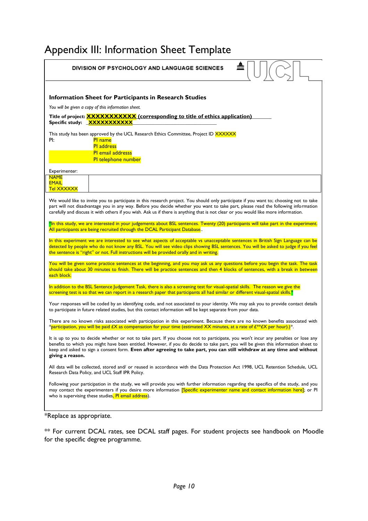### Appendix III: Information Sheet Template

| m<br>DIVISION OF PSYCHOLOGY AND LANGUAGE SCIENCES                                                                                                                                                                                                                                                                                                                                                                        |  |  |  |  |
|--------------------------------------------------------------------------------------------------------------------------------------------------------------------------------------------------------------------------------------------------------------------------------------------------------------------------------------------------------------------------------------------------------------------------|--|--|--|--|
|                                                                                                                                                                                                                                                                                                                                                                                                                          |  |  |  |  |
| <b>Information Sheet for Participants in Research Studies</b>                                                                                                                                                                                                                                                                                                                                                            |  |  |  |  |
| You will be given a copy of this information sheet.                                                                                                                                                                                                                                                                                                                                                                      |  |  |  |  |
| Title of project: <b>XXXXXXXXXXX</b> (corresponding to title of ethics application)<br>Specific study: XXXXXXXXXXX                                                                                                                                                                                                                                                                                                       |  |  |  |  |
| This study has been approved by the UCL Research Ethics Committee, Project ID XXXXXX<br>PI:<br><b>PI</b> name                                                                                                                                                                                                                                                                                                            |  |  |  |  |
| <b>PI</b> address<br><b>PI</b> email addresss                                                                                                                                                                                                                                                                                                                                                                            |  |  |  |  |
| PI telephone number                                                                                                                                                                                                                                                                                                                                                                                                      |  |  |  |  |
| Experimenter:<br><b>NAME</b>                                                                                                                                                                                                                                                                                                                                                                                             |  |  |  |  |
| <b>EMAIL</b><br>Tel XXXXXX                                                                                                                                                                                                                                                                                                                                                                                               |  |  |  |  |
| We would like to invite you to participate in this research project. You should only participate if you want to; choosing not to take<br>part will not disadvantage you in any way. Before you decide whether you want to take part, please read the following information<br>carefully and discuss it with others if you wish. Ask us if there is anything that is not clear or you would like more information.        |  |  |  |  |
| *In this study, we are interested in your judgements about BSL sentences. Twenty (20) participants will take part in the experiment.<br>All participants are being recruited through the DCAL Participant Database                                                                                                                                                                                                       |  |  |  |  |
| In this experiment we are interested to see what aspects of acceptable vs unacceptable sentences in British Sign Language can be<br>detected by people who do not know any BSL. You will see video clips showing BSL sentences. You will be asked to judge if you feel<br>the sentence is "right" or not. Full instructions will be provided orally and in writing.                                                      |  |  |  |  |
| You will be given some practice sentences at the beginning, and you may ask us any questions before you begin the task. The task<br>should take about 30 minutes to finish. There will be practice sentences and then 4 blocks of sentences, with a break in between<br>each block.                                                                                                                                      |  |  |  |  |
| In addition to the BSL Sentence Judgement Task, there is also a screening test for visual-spatial skills. The reason we give the<br>screening test is so that we can report in a research paper that participants all had similar or different visual-spatial skills. <sup>*</sup>                                                                                                                                       |  |  |  |  |
| Your responses will be coded by an identifying code, and not associated to your identity. We may ask you to provide contact details<br>to participate in future related studies, but this contact information will be kept separate from your data.                                                                                                                                                                      |  |  |  |  |
| There are no known risks associated with participation in this experiment. Because there are no known benefits associated with<br>*participation, you will be paid £X as compensation for your time (estimated XX minutes, at a rate of £**£X per hour).)*.                                                                                                                                                              |  |  |  |  |
| It is up to you to decide whether or not to take part. If you choose not to participate, you won't incur any penalties or lose any<br>benefits to which you might have been entitled. However, if you do decide to take part, you will be given this information sheet to<br>keep and asked to sign a consent form. Even after agreeing to take part, you can still withdraw at any time and without<br>giving a reason. |  |  |  |  |
| All data will be collected, stored and/ or reused in accordance with the Data Protection Act 1998, UCL Retention Schedule, UCL<br>Research Data Policy, and UCL Staff IPR Policy.                                                                                                                                                                                                                                        |  |  |  |  |
| Following your participation in the study, we will provide you with further information regarding the specifics of the study, and you<br>may contact the experimenters if you desire more information <b>Specific experimenter name and contact information here</b> , or PI<br>who is supervising these studies, PI email address).                                                                                     |  |  |  |  |
| *Replace as appropriate.                                                                                                                                                                                                                                                                                                                                                                                                 |  |  |  |  |

\*\* For current DCAL rates, see DCAL staff pages. For student projects see handbook on Moodle for the specific degree programme.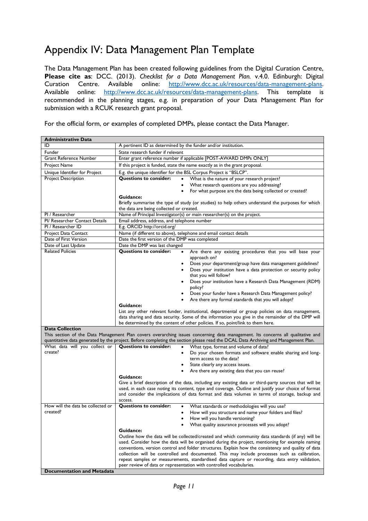### Appendix IV: Data Management Plan Template

The Data Management Plan has been created following guidelines from the Digital Curation Centre, **Please cite as**: DCC. (2013). *Checklist for a Data Management Plan.* v.4.0. Edinburgh: Digital Curation Centre. Available online: http://www.dcc.ac.uk/resources/data-management-plans. Available online: http://www.dcc.ac.uk/resources/data-management-plans. This template is recommended in the planning stages, e.g. in preparation of your Data Management Plan for submission with a RCUK research grant proposal.

For the official form, or examples of completed DMPs, please contact the Data Manager.

| <b>Administrative Data</b>                        |                                                                                                                                                                                                        |  |  |
|---------------------------------------------------|--------------------------------------------------------------------------------------------------------------------------------------------------------------------------------------------------------|--|--|
| ID                                                | A pertinent ID as determined by the funder and/or institution.                                                                                                                                         |  |  |
| Funder                                            | State research funder if relevant                                                                                                                                                                      |  |  |
| <b>Grant Reference Number</b>                     | Enter grant reference number if applicable [POST-AWARD DMPs ONLY]                                                                                                                                      |  |  |
| Project Name                                      | If this project is funded, state the name exactly as in the grant proposal.                                                                                                                            |  |  |
| Unique Identifier for Project                     | E.g. the unique identifier for the BSL Corpus Project is "BSLCP".                                                                                                                                      |  |  |
| Project Description                               | Questions to consider:<br>What is the nature of your research project?<br>$\bullet$                                                                                                                    |  |  |
|                                                   | What research questions are you addressing?<br>٠                                                                                                                                                       |  |  |
|                                                   | For what purpose are the data being collected or created?                                                                                                                                              |  |  |
|                                                   | Guidance:                                                                                                                                                                                              |  |  |
|                                                   | Briefly summarise the type of study (or studies) to help others understand the purposes for which                                                                                                      |  |  |
|                                                   | the data are being collected or created.                                                                                                                                                               |  |  |
| PI / Researcher<br>PI/ Researcher Contact Details | Name of Principal Investigator(s) or main researcher(s) on the project.                                                                                                                                |  |  |
| PI / Researcher ID                                | Email address, address, and telephone number                                                                                                                                                           |  |  |
|                                                   | E.g. ORCID http://orcid.org/                                                                                                                                                                           |  |  |
| Project Data Contact<br>Date of First Version     | Name (if different to above), telephone and email contact details<br>Date the first version of the DMP was completed                                                                                   |  |  |
| Date of Last Update                               | Date the DMP was last changed                                                                                                                                                                          |  |  |
| <b>Related Policies</b>                           | <b>Questions to consider:</b><br>Are there any existing procedures that you will base your<br>$\bullet$                                                                                                |  |  |
|                                                   | approach on?                                                                                                                                                                                           |  |  |
|                                                   | Does your department/group have data management guidelines?<br>٠                                                                                                                                       |  |  |
|                                                   | Does your institution have a data protection or security policy                                                                                                                                        |  |  |
|                                                   | that you will follow?                                                                                                                                                                                  |  |  |
|                                                   | Does your institution have a Research Data Management (RDM)                                                                                                                                            |  |  |
|                                                   | policy?                                                                                                                                                                                                |  |  |
|                                                   | Does your funder have a Research Data Management policy?                                                                                                                                               |  |  |
|                                                   | Are there any formal standards that you will adopt?                                                                                                                                                    |  |  |
|                                                   | Guidance:                                                                                                                                                                                              |  |  |
|                                                   | List any other relevant funder, institutional, departmental or group policies on data management,<br>data sharing and data security. Some of the information you give in the remainder of the DMP will |  |  |
|                                                   | be determined by the content of other policies. If so, point/link to them here.                                                                                                                        |  |  |
| <b>Data Collection</b>                            |                                                                                                                                                                                                        |  |  |
|                                                   | This section of the Data Management Plan covers overarching issues concerning data management. Its concerns all qualitative and                                                                        |  |  |
|                                                   | quantitative data generated by the project. Before completing the section please read the DCAL Data Archiving and Management Plan.                                                                     |  |  |
| What data will you collect or                     | <b>Questions to consider:</b><br>What type, format and volume of data?<br>$\bullet$                                                                                                                    |  |  |
| create?                                           | Do your chosen formats and software enable sharing and long-<br>٠                                                                                                                                      |  |  |
|                                                   | term access to the data?                                                                                                                                                                               |  |  |
|                                                   | State clearly any access issues.<br>٠                                                                                                                                                                  |  |  |
|                                                   | Are there any existing data that you can reuse?<br>٠<br>Guidance:                                                                                                                                      |  |  |
|                                                   | Give a brief description of the data, including any existing data or third-party sources that will be                                                                                                  |  |  |
|                                                   | used, in each case noting its content, type and coverage. Outline and justify your choice of format                                                                                                    |  |  |
|                                                   | and consider the implications of data format and data volumes in terms of storage, backup and                                                                                                          |  |  |
|                                                   | access.                                                                                                                                                                                                |  |  |
| How will the data be collected or                 | <b>Questions to consider:</b><br>What standards or methodologies will you use?                                                                                                                         |  |  |
| created?                                          | How will you structure and name your folders and files?                                                                                                                                                |  |  |
|                                                   | How will you handle versioning?                                                                                                                                                                        |  |  |
|                                                   | What quality assurance processes will you adopt?                                                                                                                                                       |  |  |
|                                                   | Guidance:                                                                                                                                                                                              |  |  |
|                                                   | Outline how the data will be collected/created and which community data standards (if any) will be                                                                                                     |  |  |
|                                                   | used. Consider how the data will be organised during the project, mentioning for example naming<br>conventions, version control and folder structures. Explain how the consistency and quality of data |  |  |
|                                                   | collection will be controlled and documented. This may include processes such as calibration,                                                                                                          |  |  |
|                                                   | repeat samples or measurements, standardised data capture or recording, data entry validation,                                                                                                         |  |  |
|                                                   | peer review of data or representation with controlled vocabularies.                                                                                                                                    |  |  |
| <b>Documentation and Metadata</b>                 |                                                                                                                                                                                                        |  |  |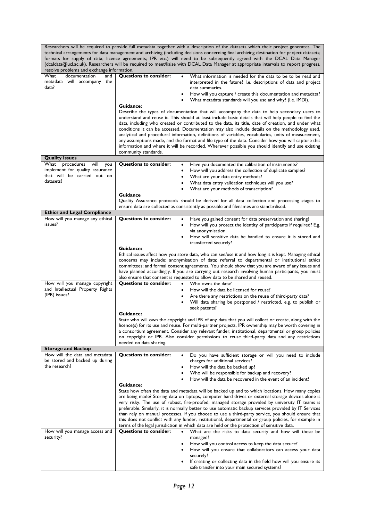|                                                                         | Researchers will be required to provide full metadata together with a description of the datasets which their project generates. The<br>technical arrangements for data management and archiving (including decisions concerning final archiving destination for project datasets;<br>formats for supply of data; licence agreements; IPR etc.) will need to be subsequently agreed with the DCAL Data Manager<br>(dcaldata@ucl.ac.uk). Researchers will be required to meet/liaise with DCAL Data Manager at appropriate intervals to report progress, |
|-------------------------------------------------------------------------|---------------------------------------------------------------------------------------------------------------------------------------------------------------------------------------------------------------------------------------------------------------------------------------------------------------------------------------------------------------------------------------------------------------------------------------------------------------------------------------------------------------------------------------------------------|
| resolve problems and exchange information.                              |                                                                                                                                                                                                                                                                                                                                                                                                                                                                                                                                                         |
| documentation<br>What<br>and<br>metadata will accompany<br>the<br>data? | <b>Questions to consider:</b><br>What information is needed for the data to be to be read and<br>interpreted in the future? I.e. descriptions of data and project<br>data summaries.                                                                                                                                                                                                                                                                                                                                                                    |
|                                                                         | How will you capture / create this documentation and metadata?                                                                                                                                                                                                                                                                                                                                                                                                                                                                                          |
|                                                                         | What metadata standards will you use and why? (I.e. IMDI).                                                                                                                                                                                                                                                                                                                                                                                                                                                                                              |
|                                                                         | Guidance:<br>Describe the types of documentation that will accompany the data to help secondary users to                                                                                                                                                                                                                                                                                                                                                                                                                                                |
|                                                                         | understand and reuse it. This should at least include basic details that will help people to find the                                                                                                                                                                                                                                                                                                                                                                                                                                                   |
|                                                                         | data, including who created or contributed to the data, its title, date of creation, and under what<br>conditions it can be accessed. Documentation may also include details on the methodology used,                                                                                                                                                                                                                                                                                                                                                   |
|                                                                         | analytical and procedural information, definitions of variables, vocabularies, units of measurement,                                                                                                                                                                                                                                                                                                                                                                                                                                                    |
|                                                                         | any assumptions made, and the format and file type of the data. Consider how you will capture this                                                                                                                                                                                                                                                                                                                                                                                                                                                      |
|                                                                         | information and where it will be recorded. Wherever possible you should identify and use existing<br>community standards.                                                                                                                                                                                                                                                                                                                                                                                                                               |
| <b>Quality Issues</b>                                                   |                                                                                                                                                                                                                                                                                                                                                                                                                                                                                                                                                         |
| procedures<br>will<br>What<br>you                                       | <b>Questions to consider:</b><br>Have you documented the calibration of instruments?                                                                                                                                                                                                                                                                                                                                                                                                                                                                    |
| implement for quality assurance<br>that will be carried out on          | How will you address the collection of duplicate samples?                                                                                                                                                                                                                                                                                                                                                                                                                                                                                               |
| datasets?                                                               | What are your data entry methods?<br>$\bullet$<br>What data entry validation techniques will you use?                                                                                                                                                                                                                                                                                                                                                                                                                                                   |
|                                                                         | What are your methods of transcription?                                                                                                                                                                                                                                                                                                                                                                                                                                                                                                                 |
|                                                                         | Guidance                                                                                                                                                                                                                                                                                                                                                                                                                                                                                                                                                |
|                                                                         | Quality Assurance protocols should be derived for all data collection and processing stages to<br>ensure data are collected as consistently as possible and filenames are standardised.                                                                                                                                                                                                                                                                                                                                                                 |
| <b>Ethics and Legal Compliance</b>                                      |                                                                                                                                                                                                                                                                                                                                                                                                                                                                                                                                                         |
| How will you manage any ethical                                         | <b>Questions to consider:</b><br>Have you gained consent for data preservation and sharing?<br>٠                                                                                                                                                                                                                                                                                                                                                                                                                                                        |
| issues?                                                                 | How will you protect the identity of participants if required? E.g.<br>٠                                                                                                                                                                                                                                                                                                                                                                                                                                                                                |
|                                                                         | via anonymisation.<br>How will sensitive data be handled to ensure it is stored and                                                                                                                                                                                                                                                                                                                                                                                                                                                                     |
|                                                                         | transferred securely?                                                                                                                                                                                                                                                                                                                                                                                                                                                                                                                                   |
|                                                                         | Guidance:                                                                                                                                                                                                                                                                                                                                                                                                                                                                                                                                               |
|                                                                         | Ethical issues affect how you store data, who can see/use it and how long it is kept. Managing ethical<br>concerns may include: anonymisation of data; referral to departmental or institutional ethics                                                                                                                                                                                                                                                                                                                                                 |
|                                                                         | committees; and formal consent agreements. You should show that you are aware of any issues and                                                                                                                                                                                                                                                                                                                                                                                                                                                         |
|                                                                         | have planned accordingly. If you are carrying out research involving human participants, you must<br>also ensure that consent is requested to allow data to be shared and reused.                                                                                                                                                                                                                                                                                                                                                                       |
| How will you manage copyright                                           | <b>Questions to consider:</b><br>Who owns the data?                                                                                                                                                                                                                                                                                                                                                                                                                                                                                                     |
| and Intellectual Property Rights                                        | How will the data be licensed for reuse?                                                                                                                                                                                                                                                                                                                                                                                                                                                                                                                |
| (IPR) issues?                                                           | Are there any restrictions on the reuse of third-party data?<br>$\bullet$                                                                                                                                                                                                                                                                                                                                                                                                                                                                               |
|                                                                         | Will data sharing be postponed / restricted, e.g. to publish or<br>seek patents?                                                                                                                                                                                                                                                                                                                                                                                                                                                                        |
|                                                                         | <b>Guidance:</b>                                                                                                                                                                                                                                                                                                                                                                                                                                                                                                                                        |
|                                                                         | State who will own the copyright and IPR of any data that you will collect or create, along with the                                                                                                                                                                                                                                                                                                                                                                                                                                                    |
|                                                                         | licence(s) for its use and reuse. For multi-partner projects, IPR ownership may be worth covering in<br>a consortium agreement. Consider any relevant funder, institutional, departmental or group policies                                                                                                                                                                                                                                                                                                                                             |
|                                                                         | on copyright or IPR. Also consider permissions to reuse third-party data and any restrictions                                                                                                                                                                                                                                                                                                                                                                                                                                                           |
|                                                                         | needed on data sharing.                                                                                                                                                                                                                                                                                                                                                                                                                                                                                                                                 |
| <b>Storage and Backup</b><br>How will the data and metadata             | <b>Questions to consider:</b><br>Do you have sufficient storage or will you need to include                                                                                                                                                                                                                                                                                                                                                                                                                                                             |
| be stored and backed up during                                          | charges for additional services?                                                                                                                                                                                                                                                                                                                                                                                                                                                                                                                        |
| the research?                                                           | How will the data be backed up?                                                                                                                                                                                                                                                                                                                                                                                                                                                                                                                         |
|                                                                         | Who will be responsible for backup and recovery?<br>How will the data be recovered in the event of an incident?                                                                                                                                                                                                                                                                                                                                                                                                                                         |
|                                                                         | Guidance:                                                                                                                                                                                                                                                                                                                                                                                                                                                                                                                                               |
|                                                                         | State how often the data and metadata will be backed up and to which locations. How many copies                                                                                                                                                                                                                                                                                                                                                                                                                                                         |
|                                                                         | are being made? Storing data on laptops, computer hard drives or external storage devices alone is<br>very risky. The use of robust, fire-proofed, managed storage provided by university IT teams is                                                                                                                                                                                                                                                                                                                                                   |
|                                                                         | preferable. Similarly, it is normally better to use automatic backup services provided by IT Services                                                                                                                                                                                                                                                                                                                                                                                                                                                   |
|                                                                         | than rely on manual processes. If you choose to use a third-party service, you should ensure that                                                                                                                                                                                                                                                                                                                                                                                                                                                       |
|                                                                         | this does not conflict with any funder, institutional, departmental or group policies, for example in<br>terms of the legal jurisdiction in which data are held or the protection of sensitive data.                                                                                                                                                                                                                                                                                                                                                    |
| How will you manage access and                                          | <b>Questions to consider:</b><br>What are the risks to data security and how will these be                                                                                                                                                                                                                                                                                                                                                                                                                                                              |
| security?                                                               | managed?                                                                                                                                                                                                                                                                                                                                                                                                                                                                                                                                                |
|                                                                         | How will you control access to keep the data secure?                                                                                                                                                                                                                                                                                                                                                                                                                                                                                                    |
|                                                                         | How will you ensure that collaborators can access your data<br>securely?                                                                                                                                                                                                                                                                                                                                                                                                                                                                                |
|                                                                         | If creating or collecting data in the field how will you ensure its                                                                                                                                                                                                                                                                                                                                                                                                                                                                                     |
|                                                                         | safe transfer into your main secured systems?                                                                                                                                                                                                                                                                                                                                                                                                                                                                                                           |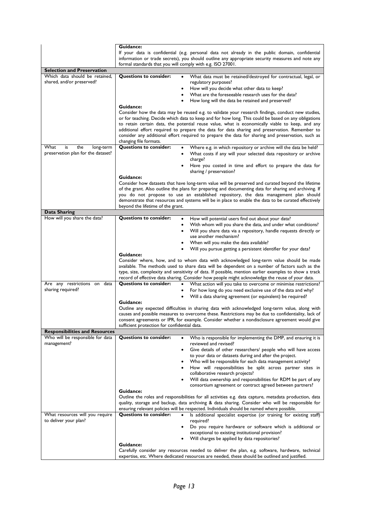|                                                                           | Guidance:                                                                                                                                                                                                                                                         |  |  |
|---------------------------------------------------------------------------|-------------------------------------------------------------------------------------------------------------------------------------------------------------------------------------------------------------------------------------------------------------------|--|--|
|                                                                           | If your data is confidential (e.g. personal data not already in the public domain, confidential<br>information or trade secrets), you should outline any appropriate security measures and note any<br>formal standards that you will comply with e.g. ISO 27001. |  |  |
| <b>Selection and Preservation</b>                                         |                                                                                                                                                                                                                                                                   |  |  |
| Which data should be retained,                                            | <b>Questions to consider:</b><br>What data must be retained/destroyed for contractual, legal, or                                                                                                                                                                  |  |  |
| shared, and/or preserved?                                                 | regulatory purposes?                                                                                                                                                                                                                                              |  |  |
|                                                                           | How will you decide what other data to keep?<br>٠                                                                                                                                                                                                                 |  |  |
|                                                                           | What are the foreseeable research uses for the data?<br>٠                                                                                                                                                                                                         |  |  |
|                                                                           | How long will the data be retained and preserved?                                                                                                                                                                                                                 |  |  |
|                                                                           | Guidance:                                                                                                                                                                                                                                                         |  |  |
|                                                                           | Consider how the data may be reused e.g. to validate your research findings, conduct new studies,                                                                                                                                                                 |  |  |
|                                                                           | or for teaching. Decide which data to keep and for how long. This could be based on any obligations                                                                                                                                                               |  |  |
|                                                                           | to retain certain data, the potential reuse value, what is economically viable to keep, and any                                                                                                                                                                   |  |  |
|                                                                           | additional effort required to prepare the data for data sharing and preservation. Remember to<br>consider any additional effort required to prepare the data for sharing and preservation, such as                                                                |  |  |
|                                                                           | changing file formats.                                                                                                                                                                                                                                            |  |  |
| What<br>is<br>the<br>long-term                                            | <b>Questions to consider:</b><br>Where e.g. in which repository or archive will the data be held?                                                                                                                                                                 |  |  |
| preservation plan for the dataset?                                        | What costs if any will your selected data repository or archive                                                                                                                                                                                                   |  |  |
|                                                                           | charge?                                                                                                                                                                                                                                                           |  |  |
|                                                                           | Have you costed in time and effort to prepare the data for<br>٠                                                                                                                                                                                                   |  |  |
|                                                                           | sharing / preservation?                                                                                                                                                                                                                                           |  |  |
|                                                                           | Guidance:                                                                                                                                                                                                                                                         |  |  |
|                                                                           | Consider how datasets that have long-term value will be preserved and curated beyond the lifetime                                                                                                                                                                 |  |  |
|                                                                           | of the grant. Also outline the plans for preparing and documenting data for sharing and archiving. If<br>you do not propose to use an established repository, the data management plan should                                                                     |  |  |
|                                                                           | demonstrate that resources and systems will be in place to enable the data to be curated effectively                                                                                                                                                              |  |  |
|                                                                           | beyond the lifetime of the grant.                                                                                                                                                                                                                                 |  |  |
| Data Sharing                                                              |                                                                                                                                                                                                                                                                   |  |  |
| How will you share the data?                                              | <b>Questions to consider:</b><br>How will potential users find out about your data?<br>٠                                                                                                                                                                          |  |  |
|                                                                           | With whom will you share the data, and under what conditions?<br>٠                                                                                                                                                                                                |  |  |
|                                                                           | Will you share data via a repository, handle requests directly or                                                                                                                                                                                                 |  |  |
|                                                                           | use another mechanism?                                                                                                                                                                                                                                            |  |  |
|                                                                           | When will you make the data available?                                                                                                                                                                                                                            |  |  |
|                                                                           | Will you pursue getting a persistent identifier for your data?<br>Guidance:                                                                                                                                                                                       |  |  |
|                                                                           | Consider where, how, and to whom data with acknowledged long-term value should be made                                                                                                                                                                            |  |  |
|                                                                           | available. The methods used to share data will be dependent on a number of factors such as the                                                                                                                                                                    |  |  |
|                                                                           | type, size, complexity and sensitivity of data. If possible, mention earlier examples to show a track                                                                                                                                                             |  |  |
|                                                                           | record of effective data sharing. Consider how people might acknowledge the reuse of your data.                                                                                                                                                                   |  |  |
| Are any restrictions on data<br>sharing required?                         | <b>Questions to consider:</b><br>What action will you take to overcome or minimise restrictions?<br>$\bullet$                                                                                                                                                     |  |  |
|                                                                           | For how long do you need exclusive use of the data and why?<br>Will a data sharing agreement (or equivalent) be required?                                                                                                                                         |  |  |
|                                                                           | ٠<br>Guidance:                                                                                                                                                                                                                                                    |  |  |
|                                                                           | Outline any expected difficulties in sharing data with acknowledged long-term value, along with                                                                                                                                                                   |  |  |
|                                                                           | causes and possible measures to overcome these. Restrictions may be due to confidentiality, lack of                                                                                                                                                               |  |  |
|                                                                           | consent agreements or IPR, for example. Consider whether a nondisclosure agreement would give                                                                                                                                                                     |  |  |
|                                                                           | sufficient protection for confidential data.                                                                                                                                                                                                                      |  |  |
| <b>Responsibilities and Resources</b><br>Who will be responsible for data | <b>Questions to consider:</b>                                                                                                                                                                                                                                     |  |  |
| management?                                                               | Who is responsible for implementing the DMP, and ensuring it is<br>reviewed and revised?                                                                                                                                                                          |  |  |
|                                                                           | Give details of other researchers/ people who will have access<br>٠                                                                                                                                                                                               |  |  |
|                                                                           | to your data or datasets during and after the project.                                                                                                                                                                                                            |  |  |
|                                                                           | Who will be responsible for each data management activity?<br>٠                                                                                                                                                                                                   |  |  |
|                                                                           | How will responsibilities be split across partner sites in                                                                                                                                                                                                        |  |  |
|                                                                           | collaborative research projects?                                                                                                                                                                                                                                  |  |  |
|                                                                           | Will data ownership and responsibilities for RDM be part of any                                                                                                                                                                                                   |  |  |
|                                                                           | consortium agreement or contract agreed between partners?<br>Guidance:                                                                                                                                                                                            |  |  |
|                                                                           | Outline the roles and responsibilities for all activities e.g. data capture, metadata production, data                                                                                                                                                            |  |  |
|                                                                           | quality, storage and backup, data archiving & data sharing. Consider who will be responsible for                                                                                                                                                                  |  |  |
|                                                                           | ensuring relevant policies will be respected. Individuals should be named where possible.                                                                                                                                                                         |  |  |
| What resources will you require                                           | <b>Questions to consider:</b><br>Is additional specialist expertise (or training for existing staff)<br>$\bullet$                                                                                                                                                 |  |  |
| to deliver your plan?                                                     | required?                                                                                                                                                                                                                                                         |  |  |
|                                                                           | Do you require hardware or software which is additional or<br>$\bullet$<br>exceptional to existing institutional provision?                                                                                                                                       |  |  |
|                                                                           | Will charges be applied by data repositories?                                                                                                                                                                                                                     |  |  |
|                                                                           | Guidance:                                                                                                                                                                                                                                                         |  |  |
|                                                                           | Carefully consider any resources needed to deliver the plan, e.g. software, hardware, technical                                                                                                                                                                   |  |  |
|                                                                           | expertise, etc. Where dedicated resources are needed, these should be outlined and justified.                                                                                                                                                                     |  |  |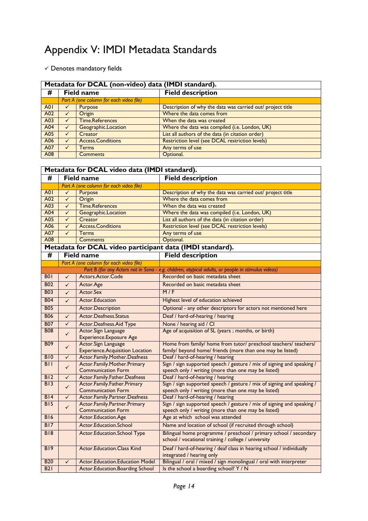### Appendix V: IMDI Metadata Standards

 $\checkmark$  Denotes mandatory fields

|                 | Metadata for DCAL (non-video) data (IMDI standard).                              |                   |                                                            |  |  |
|-----------------|----------------------------------------------------------------------------------|-------------------|------------------------------------------------------------|--|--|
| #               |                                                                                  | <b>Field name</b> | <b>Field description</b>                                   |  |  |
|                 | Part A (one column for each video file)                                          |                   |                                                            |  |  |
| A <sub>0</sub>  |                                                                                  | Purpose           | Description of why the data was carried out/ project title |  |  |
| A02             | Where the data comes from<br>Origin                                              |                   |                                                            |  |  |
| A <sub>03</sub> | <b>Time.References</b><br>When the data was created                              |                   |                                                            |  |  |
| A <sub>04</sub> | Where the data was compiled (i.e. London, UK)<br>Geographic.Location<br>✓        |                   |                                                            |  |  |
| A05             | List all authors of the data (in citation order)<br>Creator                      |                   |                                                            |  |  |
| A06             | Restriction level (see DCAL restriction levels)<br><b>Access.Conditions</b><br>✓ |                   |                                                            |  |  |
| A07             | Any terms of use<br>Terms                                                        |                   |                                                            |  |  |
| A08             | Optional.<br><b>Comments</b>                                                     |                   |                                                            |  |  |

| Metadata for DCAL video data (IMDI standard).   |                                                                                                             |                                                                      |                                                                                                    |  |
|-------------------------------------------------|-------------------------------------------------------------------------------------------------------------|----------------------------------------------------------------------|----------------------------------------------------------------------------------------------------|--|
| #                                               | <b>Field name</b>                                                                                           |                                                                      | <b>Field description</b>                                                                           |  |
|                                                 | Part A (one column for each video file)                                                                     |                                                                      |                                                                                                    |  |
| A01                                             | ✓                                                                                                           | Purpose                                                              | Description of why the data was carried out/ project title                                         |  |
| A02                                             | ✓                                                                                                           | Origin                                                               | Where the data comes from                                                                          |  |
| A03                                             | $\checkmark$                                                                                                | <b>Time.References</b>                                               | When the data was created                                                                          |  |
| A04                                             | $\checkmark$                                                                                                | Geographic.Location                                                  | Where the data was compiled (i.e. London, UK)                                                      |  |
| A05                                             | $\checkmark$                                                                                                | Creator                                                              | List all authors of the data (in citation order)                                                   |  |
| A06                                             | $\checkmark$                                                                                                | <b>Access.Conditions</b>                                             | Restriction level (see DCAL restriction levels)                                                    |  |
| A07                                             | ✓                                                                                                           | <b>Terms</b>                                                         | Any terms of use                                                                                   |  |
| A08                                             |                                                                                                             | Comments                                                             | Optional.                                                                                          |  |
|                                                 |                                                                                                             | Metadata for DCAL video participant data (IMDI standard).            |                                                                                                    |  |
| #                                               |                                                                                                             | <b>Field name</b>                                                    | <b>Field description</b>                                                                           |  |
|                                                 |                                                                                                             | Part A (one column for each video file)                              |                                                                                                    |  |
|                                                 |                                                                                                             |                                                                      | Part B (for any Actors not in Sona - e.g. children, atypical adults, or people in stimulus videos) |  |
| <b>B01</b>                                      | $\checkmark$                                                                                                | Actors.Actor.Code                                                    | Recorded on basic metadata sheet                                                                   |  |
| <b>B02</b>                                      | $\checkmark$                                                                                                | Actor.Age                                                            | Recorded on basic metadata sheet                                                                   |  |
| <b>B03</b>                                      | $\checkmark$                                                                                                | Actor.Sex                                                            | M/F                                                                                                |  |
| <b>B04</b>                                      | $\checkmark$                                                                                                | Actor.Education                                                      | Highest level of education achieved                                                                |  |
| <b>B05</b>                                      |                                                                                                             | <b>Actor.Description</b>                                             | Optional - any other descriptors for actors not mentioned here                                     |  |
| <b>B06</b>                                      | $\checkmark$                                                                                                | Actor.Deafness.Status                                                | Deaf / hard-of-hearing / hearing                                                                   |  |
| <b>B07</b>                                      | $\checkmark$                                                                                                | Actor.Deafness.Aid Type                                              | None / hearing aid / Cl                                                                            |  |
| <b>B08</b>                                      | $\checkmark$                                                                                                | Actor.Sign Language                                                  | Age of acquisition of SL (years ; months, or birth)                                                |  |
|                                                 |                                                                                                             | <b>Experience.Exposure Age</b>                                       |                                                                                                    |  |
| <b>B09</b>                                      | $\checkmark$                                                                                                | Actor.Sign Language                                                  | Home from family/ home from tutor/ preschool teachers/ teachers/                                   |  |
|                                                 |                                                                                                             | <b>Experience.Acquisition Location</b>                               | family/ beyond home/ friends (more than one may be listed)                                         |  |
| <b>B10</b>                                      | $\checkmark$                                                                                                | Actor.Family.Mother.Deafness                                         | Deaf / hard-of-hearing / hearing                                                                   |  |
| BII                                             | $\checkmark$                                                                                                | Actor.Family.Mother.Primary                                          | Sign / sign supported speech / gesture / mix of signing and speaking /                             |  |
| B12                                             | $\checkmark$                                                                                                | <b>Communication Form</b><br>Actor.Family.Father.Deafness            | speech only / writing (more than one may be listed)<br>Deaf / hard-of-hearing / hearing            |  |
| B13                                             |                                                                                                             | Actor.Family.Father.Primary                                          | Sign / sign supported speech / gesture / mix of signing and speaking /                             |  |
|                                                 | $\checkmark$                                                                                                | <b>Communication Form</b>                                            | speech only / writing (more than one may be listed)                                                |  |
| B14                                             | $\checkmark$                                                                                                | Actor.Family.Partner.Deafness                                        | Deaf / hard-of-hearing / hearing                                                                   |  |
| <b>B15</b>                                      |                                                                                                             | Actor.Family.Partner.Primary                                         | Sign / sign supported speech / gesture / mix of signing and speaking /                             |  |
|                                                 | $\checkmark$                                                                                                | <b>Communication Form</b>                                            | speech only / writing (more than one may be listed)                                                |  |
| <b>B16</b>                                      | Actor.Education.Age<br>Age at which school was attended                                                     |                                                                      |                                                                                                    |  |
| B17                                             |                                                                                                             | Actor.Education.School                                               | Name and location of school (if recruited through school)                                          |  |
| <b>B18</b>                                      | Bilingual home programme / preschool / primary school / secondary<br>Actor.Education.School Type            |                                                                      |                                                                                                    |  |
|                                                 | school / vocational training / college / university                                                         |                                                                      |                                                                                                    |  |
| <b>B19</b><br><b>Actor.Education.Class Kind</b> |                                                                                                             | Deaf / hard-of-hearing / deaf class in hearing school / individually |                                                                                                    |  |
|                                                 | integrated / hearing only                                                                                   |                                                                      |                                                                                                    |  |
| <b>B20</b>                                      | Bilingual / oral / mixed / sign monolingual / oral with interpreter<br>Actor.Education.Education Model<br>✓ |                                                                      |                                                                                                    |  |
| B21                                             |                                                                                                             | Actor.Education.Boarding School                                      | Is the school a boarding school? Y / N                                                             |  |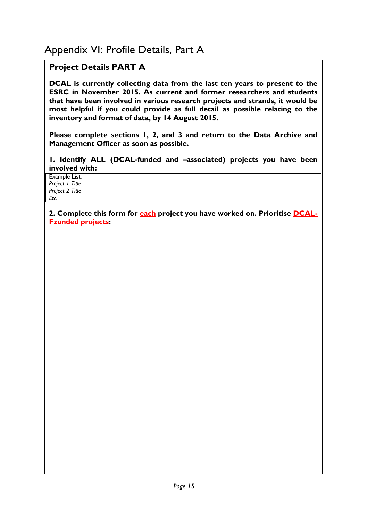### **Project Details PART A**

**DCAL is currently collecting data from the last ten years to present to the ESRC in November 2015. As current and former researchers and students that have been involved in various research projects and strands, it would be most helpful if you could provide as full detail as possible relating to the inventory and format of data, by 14 August 2015.**

**Please complete sections 1, 2, and 3 and return to the Data Archive and Management Officer as soon as possible.**

**1. Identify ALL (DCAL-funded and –associated) projects you have been involved with:**

Example List: *Project 1 Title Project 2 Title Etc.*

**2. Complete this form for each project you have worked on. Prioritise DCAL-Fzunded projects:**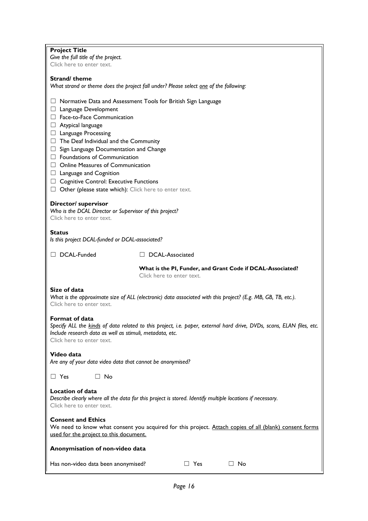| <b>Project Title</b>                                                                                                                                                                                                             |  |  |  |
|----------------------------------------------------------------------------------------------------------------------------------------------------------------------------------------------------------------------------------|--|--|--|
| Give the full title of the project.<br>Click here to enter text.                                                                                                                                                                 |  |  |  |
|                                                                                                                                                                                                                                  |  |  |  |
| Strand/theme                                                                                                                                                                                                                     |  |  |  |
| What strand or theme does the project fall under? Please select one of the following:                                                                                                                                            |  |  |  |
|                                                                                                                                                                                                                                  |  |  |  |
| $\Box$ Normative Data and Assessment Tools for British Sign Language<br>$\Box$ Language Development                                                                                                                              |  |  |  |
| Face-to-Face Communication                                                                                                                                                                                                       |  |  |  |
| $\Box$ Atypical language                                                                                                                                                                                                         |  |  |  |
| $\Box$ Language Processing                                                                                                                                                                                                       |  |  |  |
| $\Box$ The Deaf Individual and the Community                                                                                                                                                                                     |  |  |  |
| $\Box$ Sign Language Documentation and Change                                                                                                                                                                                    |  |  |  |
| $\Box$ Foundations of Communication                                                                                                                                                                                              |  |  |  |
| $\Box$ Online Measures of Communication                                                                                                                                                                                          |  |  |  |
| $\Box$ Language and Cognition                                                                                                                                                                                                    |  |  |  |
| $\Box$ Cognitive Control: Executive Functions                                                                                                                                                                                    |  |  |  |
| $\Box$ Other (please state which): Click here to enter text.                                                                                                                                                                     |  |  |  |
| Director/ supervisor<br>Who is the DCAL Director or Supervisor of this project?<br>Click here to enter text.                                                                                                                     |  |  |  |
| <b>Status</b><br>Is this project DCAL-funded or DCAL-associated?                                                                                                                                                                 |  |  |  |
| DCAL-Funded<br>□ DCAL-Associated                                                                                                                                                                                                 |  |  |  |
| What is the PI, Funder, and Grant Code if DCAL-Associated?<br>Click here to enter text.                                                                                                                                          |  |  |  |
| Size of data<br>What is the approximate size of ALL (electronic) data associated with this project? (E.g. MB, GB, TB, etc.).<br>Click here to enter text.                                                                        |  |  |  |
| Format of data<br>Specify ALL the kinds of data related to this project, i.e. paper, external hard drive, DVDs, scans, ELAN files, etc.<br>Include research data as well as stimuli, metadata, etc.<br>Click here to enter text. |  |  |  |
| Video data<br>Are any of your data video data that cannot be anonymised?                                                                                                                                                         |  |  |  |
| $\Box$ Yes<br>$\Box$ No                                                                                                                                                                                                          |  |  |  |
| <b>Location of data</b><br>Describe clearly where all the data for this project is stored. Identify multiple locations if necessary.<br>Click here to enter text.                                                                |  |  |  |
| <b>Consent and Ethics</b><br>We need to know what consent you acquired for this project. Attach copies of all (blank) consent forms<br>used for the project to this document.                                                    |  |  |  |
| Anonymisation of non-video data                                                                                                                                                                                                  |  |  |  |
| Has non-video data been anonymised?<br>$\Box$ Yes<br>$\Box$ No                                                                                                                                                                   |  |  |  |

Π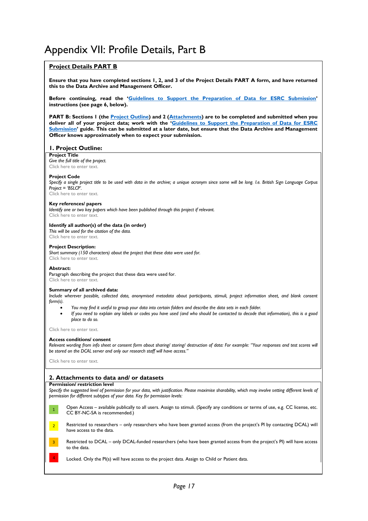### Appendix VII: Profile Details, Part B

### **Project Details PART B**

**Ensure that you have completed sections 1, 2, and 3 of the Project Details PART A form, and have returned this to the Data Archive and Management Officer.**

**Before continuing, read the 'Guidelines to Support the Preparation of Data for ESRC Submission' instructions (see page 6, below).**

**PART B: Sections 1 (the Project Outline) and 2 (Attachments) are to be completed and submitted when you deliver all of your project data; work with the 'Guidelines to Support the Preparation of Data for ESRC Submission' guide. This can be submitted at a later date, but ensure that the Data Archive and Management Officer knows approximately when to expect your submission.** 

### **1. Project Outline:**

**Project Title**

*Give the full title of the project.* Click here to enter text.

#### **Project Code**

*Specify a single project title to be used with data in the archive; a unique acronym since some will be long. I.e. British Sign Language Corpus Project = 'BSLCP'.*

Click here to enter text.

#### **Key references/ papers**

*Identify one or two key papers which have been published through this project if relevant.* Click here to enter text.

#### **Identify all author(s) of the data (in order)**

*This will be used for the citation of the data.* Click here to enter text.

#### **Project Description:**

*Short summary (150 characters) about the project that these data were used for.* Click here to enter text.

#### **Abstract:**

Paragraph describing the project that these data were used for. Click here to enter text.

#### **Summary of all archived data:**

*Include wherever possible, collected data, anonymised metadata about participants, stimuli, project information sheet, and blank consent form(s).* 

- x *You may find it useful to group your data into certain folders and describe the data sets in each folder.*
- x *If you need to explain any labels or codes you have used (and who should be contacted to decode that information), this is a good place to do so.*

Click here to enter text.

#### **Access conditions/ consent**

Relevant wording from info sheet or consent form about sharing/ storing/ destruction of data: For example: "Your responses and test scores will *be stored on the DCAL server and only our research staff will have access."*

Click here to enter text.

#### **2. Attachments to data and/ or datasets**

#### **Permission/ restriction level**

Specify the suggested level of permission for your data, with justification. Please maximise sharability, which may involve setting different levels of *permission for different subtypes of your data. Key for permission levels:* 



Open Access – available publically to all users. Assign to stimuli. (Specify any conditions or terms of use, e.g. CC license, etc. CC BY-NC-SA is recommended.)



Restricted to researchers – only researchers who have been granted access (from the project's PI by contacting DCAL) will have access to the data.



4

Restricted to DCAL – only DCAL-funded researchers (who have been granted access from the project's PI) will have access to the data.

Locked. Only the PI(s) will have access to the project data. Assign to Child or Patient data.